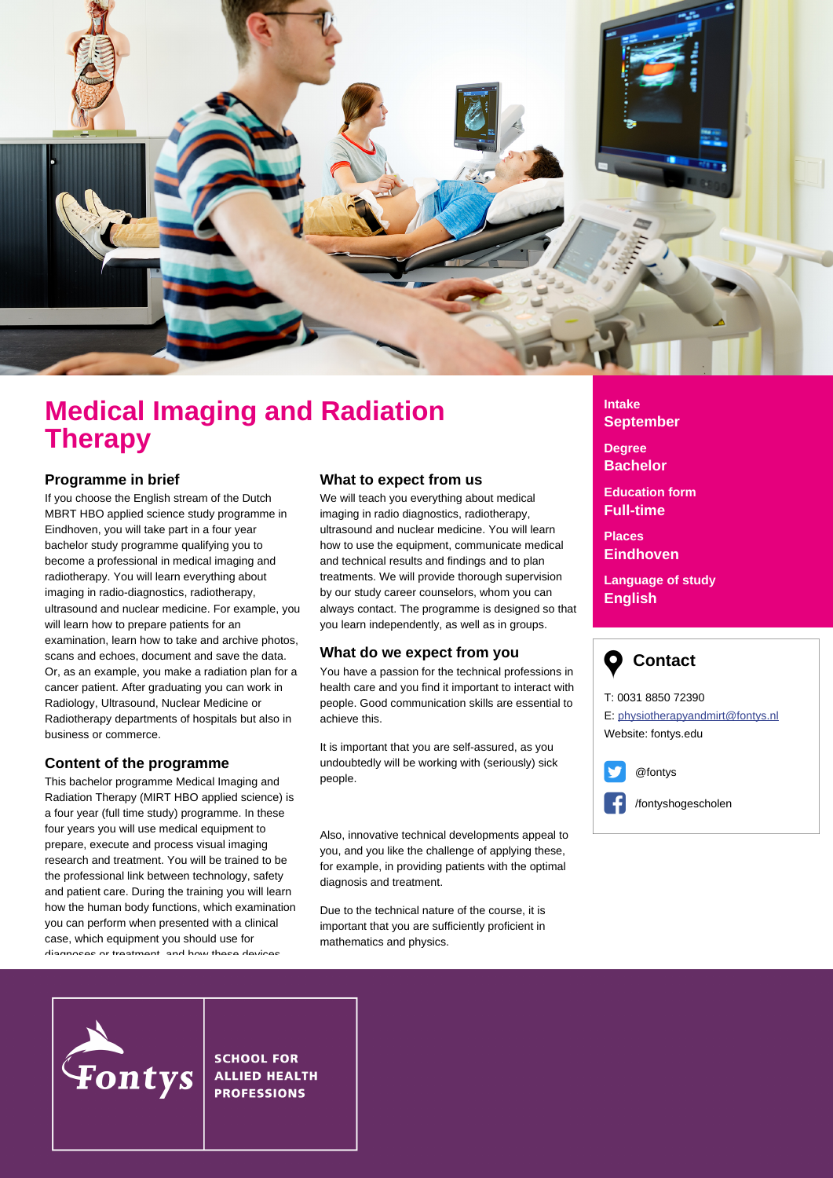

# **Medical Imaging and Radiation Therapy**

### **Programme in brief**

If you choose the English stream of the Dutch MBRT HBO applied science study programme in Eindhoven, you will take part in a four year bachelor study programme qualifying you to become a professional in medical imaging and radiotherapy. You will learn everything about imaging in radio-diagnostics, radiotherapy, ultrasound and nuclear medicine. For example, you will learn how to prepare patients for an examination, learn how to take and archive photos, scans and echoes, document and save the data. Or, as an example, you make a radiation plan for a cancer patient. After graduating you can work in Radiology, Ultrasound, Nuclear Medicine or Radiotherapy departments of hospitals but also in business or commerce.

## **Content of the programme**

This bachelor programme Medical Imaging and Radiation Therapy (MIRT HBO applied science) is a four year (full time study) programme. In these four years you will use medical equipment to prepare, execute and process visual imaging research and treatment. You will be trained to be the professional link between technology, safety and patient care. During the training you will learn how the human body functions, which examination you can perform when presented with a clinical case, which equipment you should use for diagnoses or treatment, and how these devices

where  $\omega$  will teach you the effects of  $\omega$  the effects of  $\omega$ 

#### **What to expect from us**

We will teach you everything about medical imaging in radio diagnostics, radiotherapy, ultrasound and nuclear medicine. You will learn how to use the equipment, communicate medical and technical results and findings and to plan treatments. We will provide thorough supervision by our study career counselors, whom you can always contact. The programme is designed so that you learn independently, as well as in groups.

### **What do we expect from you**

You have a passion for the technical professions in health care and you find it important to interact with people. Good communication skills are essential to achieve this.

It is important that you are self-assured, as you undoubtedly will be working with (seriously) sick people.

Also, innovative technical developments appeal to you, and you like the challenge of applying these, for example, in providing patients with the optimal diagnosis and treatment.

Due to the technical nature of the course, it is important that you are sufficiently proficient in mathematics and physics.

# **Intake September**

**Degree Bachelor**

**Education form Full-time**

**Places Eindhoven**

**Language of study English**



T: 0031 8850 72390 E: physiotherapyandmirt@fontys.nl Website: fontys.edu



/fontyshogescholen



**SCHOOL FOR ALLIED HEALTH PROFESSIONS**